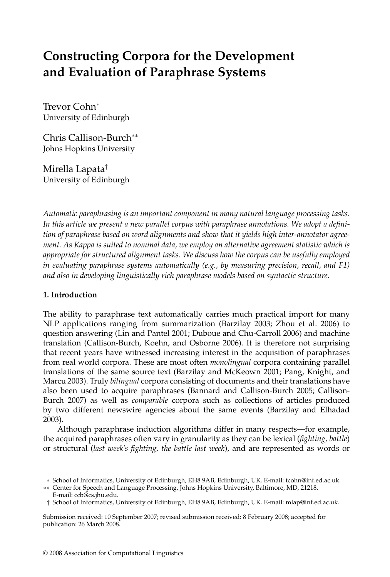# **Constructing Corpora for the Development and Evaluation of Paraphrase Systems**

Trevor Cohn<sup>∗</sup> University of Edinburgh

Chris Callison-Burch∗∗ Johns Hopkins University

Mirella Lapata† University of Edinburgh

*Automatic paraphrasing is an important component in many natural language processing tasks. In this article we present a new parallel corpus with paraphrase annotations. We adopt a definition of paraphrase based on word alignments and show that it yields high inter-annotator agreement. As Kappa is suited to nominal data, we employ an alternative agreement statistic which is appropriate for structured alignment tasks. We discuss how the corpus can be usefully employed in evaluating paraphrase systems automatically (e.g., by measuring precision, recall, and F1) and also in developing linguistically rich paraphrase models based on syntactic structure.*

# **1. Introduction**

The ability to paraphrase text automatically carries much practical import for many NLP applications ranging from summarization (Barzilay 2003; Zhou et al. 2006) to question answering (Lin and Pantel 2001; Duboue and Chu-Carroll 2006) and machine translation (Callison-Burch, Koehn, and Osborne 2006). It is therefore not surprising that recent years have witnessed increasing interest in the acquisition of paraphrases fromreal world corpora. These are most often *monolingual* corpora containing parallel translations of the same source text (Barzilay and McKeown 2001; Pang, Knight, and Marcu 2003). Truly *bilingual* corpora consisting of documents and their translations have also been used to acquire paraphrases (Bannard and Callison-Burch 2005; Callison-Burch 2007) as well as *comparable* corpora such as collections of articles produced by two different newswire agencies about the same events (Barzilay and Elhadad 2003).

Although paraphrase induction algorithms differ in many respects—for example, the acquired paraphrases often vary in granularity as they can be lexical (*fighting, battle*) or structural (*last week's fighting, the battle last week*), and are represented as words or

<sup>∗</sup> School of Informatics, University of Edinburgh, EH8 9AB, Edinburgh, UK. E-mail: tcohn@inf.ed.ac.uk.

<sup>∗∗</sup> Center for Speech and Language Processing, Johns Hopkins University, Baltimore, MD, 21218. E-mail: ccb@cs.jhu.edu.

<sup>†</sup> School of Informatics, University of Edinburgh, EH8 9AB, Edinburgh, UK. E-mail: mlap@inf.ed.ac.uk.

Submission received: 10 September 2007; revised submission received: 8 February 2008; accepted for publication: 26 March 2008.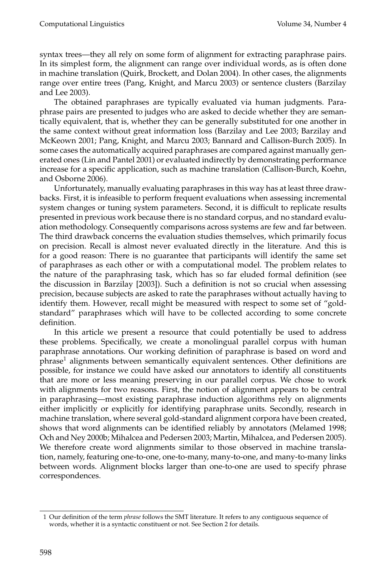syntax trees—they all rely on some form of alignment for extracting paraphrase pairs. In its simplest form, the alignment can range over individual words, as is often done in machine translation (Quirk, Brockett, and Dolan 2004). In other cases, the alignments range over entire trees (Pang, Knight, and Marcu 2003) or sentence clusters (Barzilay and Lee 2003).

The obtained paraphrases are typically evaluated via human judgments. Paraphrase pairs are presented to judges who are asked to decide whether they are semantically equivalent, that is, whether they can be generally substituted for one another in the same context without great information loss (Barzilay and Lee 2003; Barzilay and McKeown 2001; Pang, Knight, and Marcu 2003; Bannard and Callison-Burch 2005). In some cases the automatically acquired paraphrases are compared against manually generated ones (Lin and Pantel 2001) or evaluated indirectly by demonstrating performance increase for a specific application, such as machine translation (Callison-Burch, Koehn, and Osborne 2006).

Unfortunately, manually evaluating paraphrases in this way has at least three drawbacks. First, it is infeasible to performfrequent evaluations when assessing incremental system changes or tuning system parameters. Second, it is difficult to replicate results presented in previous work because there is no standard corpus, and no standard evaluation methodology. Consequently comparisons across systems are few and far between. The third drawback concerns the evaluation studies themselves, which primarily focus on precision. Recall is almost never evaluated directly in the literature. And this is for a good reason: There is no guarantee that participants will identify the same set of paraphrases as each other or with a computational model. The problem relates to the nature of the paraphrasing task, which has so far eluded formal definition (see the discussion in Barzilay [2003]). Such a definition is not so crucial when assessing precision, because subjects are asked to rate the paraphrases without actually having to identify them. However, recall might be measured with respect to some set of "goldstandard" paraphrases which will have to be collected according to some concrete definition.

In this article we present a resource that could potentially be used to address these problems. Specifically, we create a monolingual parallel corpus with human paraphrase annotations. Our working definition of paraphrase is based on word and phrase<sup>1</sup> alignments between semantically equivalent sentences. Other definitions are possible, for instance we could have asked our annotators to identify all constituents that are more or less meaning preserving in our parallel corpus. We chose to work with alignments for two reasons. First, the notion of alignment appears to be central in paraphrasing—most existing paraphrase induction algorithms rely on alignments either implicitly or explicitly for identifying paraphrase units. Secondly, research in machine translation, where several gold-standard alignment corpora have been created, shows that word alignments can be identified reliably by annotators (Melamed 1998; Och and Ney 2000b; Mihalcea and Pedersen 2003; Martin, Mihalcea, and Pedersen 2005). We therefore create word alignments similar to those observed in machine translation, namely, featuring one-to-one, one-to-many, many-to-one, and many-to-many links between words. Alignment blocks larger than one-to-one are used to specify phrase correspondences.

<sup>1</sup> Our definition of the term *phrase* follows the SMT literature. It refers to any contiguous sequence of words, whether it is a syntactic constituent or not. See Section 2 for details.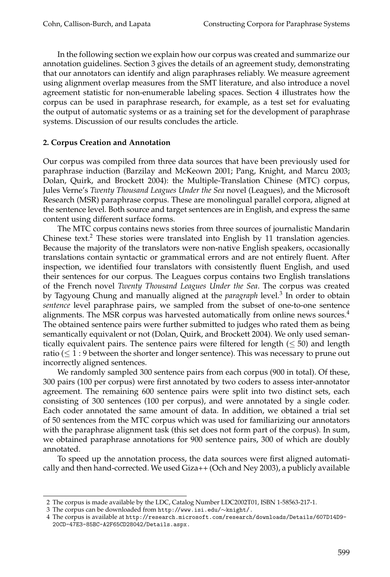In the following section we explain how our corpus was created and summarize our annotation guidelines. Section 3 gives the details of an agreement study, demonstrating that our annotators can identify and align paraphrases reliably. We measure agreement using alignment overlap measures from the SMT literature, and also introduce a novel agreement statistic for non-enumerable labeling spaces. Section 4 illustrates how the corpus can be used in paraphrase research, for example, as a test set for evaluating the output of automatic systems or as a training set for the development of paraphrase systems. Discussion of our results concludes the article.

## **2. Corpus Creation and Annotation**

Our corpus was compiled from three data sources that have been previously used for paraphrase induction (Barzilay and McKeown 2001; Pang, Knight, and Marcu 2003; Dolan, Quirk, and Brockett 2004): the Multiple-Translation Chinese (MTC) corpus, Jules Verne's *Twenty Thousand Leagues Under the Sea* novel (Leagues), and the Microsoft Research (MSR) paraphrase corpus. These are monolingual parallel corpora, aligned at the sentence level. Both source and target sentences are in English, and express the same content using different surface forms.

The MTC corpus contains news stories from three sources of journalistic Mandarin Chinese text.<sup>2</sup> These stories were translated into English by 11 translation agencies. Because the majority of the translators were non-native English speakers, occasionally translations contain syntactic or grammatical errors and are not entirely fluent. After inspection, we identified four translators with consistently fluent English, and used their sentences for our corpus. The Leagues corpus contains two English translations of the French novel *Twenty Thousand Leagues Under the Sea*. The corpus was created by Tagyoung Chung and manually aligned at the *paragraph* level.<sup>3</sup> In order to obtain *sentence* level paraphrase pairs, we sampled from the subset of one-to-one sentence alignments. The MSR corpus was harvested automatically from online news sources.<sup>4</sup> The obtained sentence pairs were further submitted to judges who rated them as being semantically equivalent or not (Dolan, Quirk, and Brockett 2004). We only used semantically equivalent pairs. The sentence pairs were filtered for length ( $\leq$  50) and length ratio ( $\leq 1:9$  between the shorter and longer sentence). This was necessary to prune out incorrectly aligned sentences.

We randomly sampled 300 sentence pairs from each corpus (900 in total). Of these, 300 pairs (100 per corpus) were first annotated by two coders to assess inter-annotator agreement. The remaining 600 sentence pairs were split into two distinct sets, each consisting of 300 sentences (100 per corpus), and were annotated by a single coder. Each coder annotated the same amount of data. In addition, we obtained a trial set of 50 sentences from the MTC corpus which was used for familiarizing our annotators with the paraphrase alignment task (this set does not form part of the corpus). In sum, we obtained paraphrase annotations for 900 sentence pairs, 300 of which are doubly annotated.

To speed up the annotation process, the data sources were first aligned automatically and then hand-corrected. We used Giza++ (Och and Ney 2003), a publicly available

<sup>2</sup> The corpus is made available by the LDC, Catalog Number LDC2002T01, ISBN 1-58563-217-1.

<sup>3</sup> The corpus can be downloaded from http://www.isi.edu/∼knight/.

<sup>4</sup> The corpus is available at http://research.microsoft.com/research/downloads/Details/607D14D9- 20CD-47E3-85BC-A2F65CD28042/Details.aspx.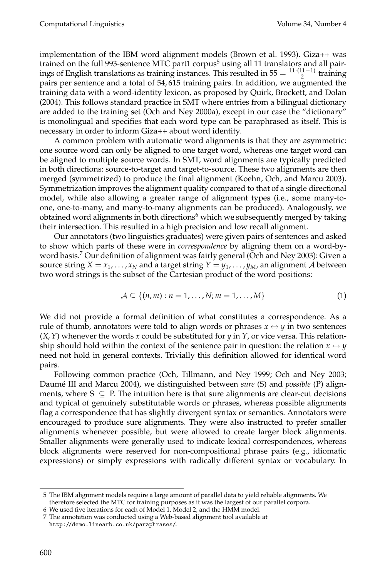implementation of the IBM word alignment models (Brown et al. 1993). Giza++ was trained on the full 993-sentence MTC part1 corpus<sup>5</sup> using all 11 translators and all pairings of English translations as training instances. This resulted in  $55 = \frac{11 \cdot (11 - 1)}{2}$  training pairs per sentence and a total of 54, 615 training pairs. In addition, we augmented the training data with a word-identity lexicon, as proposed by Quirk, Brockett, and Dolan (2004). This follows standard practice in SMT where entries froma bilingual dictionary are added to the training set (Och and Ney 2000a), except in our case the "dictionary" is monolingual and specifies that each word type can be paraphrased as itself. This is necessary in order to informGiza++ about word identity.

A common problem with automatic word alignments is that they are asymmetric: one source word can only be aligned to one target word, whereas one target word can be aligned to multiple source words. In SMT, word alignments are typically predicted in both directions: source-to-target and target-to-source. These two alignments are then merged (symmetrized) to produce the final alignment (Koehn, Och, and Marcu 2003). Symmetrization improves the alignment quality compared to that of a single directional model, while also allowing a greater range of alignment types (i.e., some many-toone, one-to-many, and many-to-many alignments can be produced). Analogously, we obtained word alignments in both directions<sup>6</sup> which we subsequently merged by taking their intersection. This resulted in a high precision and low recall alignment.

Our annotators (two linguistics graduates) were given pairs of sentences and asked to show which parts of these were in *correspondence* by aligning themon a word-byword basis.<sup>7</sup> Our definition of alignment was fairly general (Och and Ney 2003): Given a source string  $X = x_1, \ldots, x_N$  and a target string  $Y = y_1, \ldots, y_M$ , an alignment A between two word strings is the subset of the Cartesian product of the word positions:

$$
\mathcal{A} \subseteq \{(n,m): n=1,\ldots,N; m=1,\ldots,M\}
$$
 (1)

We did not provide a formal definition of what constitutes a correspondence. As a rule of thumb, annotators were told to align words or phrases  $x \leftrightarrow y$  in two sentences (*X*,*Y*) whenever the words *x* could be substituted for *y* in *Y*, or vice versa. This relationship should hold within the context of the sentence pair in question: the relation  $x \leftrightarrow y$ need not hold in general contexts. Trivially this definition allowed for identical word pairs.

Following common practice (Och, Tillmann, and Ney 1999; Och and Ney 2003; Daumé III and Marcu 2004), we distinguished between *sure* (S) and *possible* (P) alignments, where  $S \subseteq P$ . The intuition here is that sure alignments are clear-cut decisions and typical of genuinely substitutable words or phrases, whereas possible alignments flag a correspondence that has slightly divergent syntax or semantics. Annotators were encouraged to produce sure alignments. They were also instructed to prefer smaller alignments whenever possible, but were allowed to create larger block alignments. Smaller alignments were generally used to indicate lexical correspondences, whereas block alignments were reserved for non-compositional phrase pairs (e.g., idiomatic expressions) or simply expressions with radically different syntax or vocabulary. In

<sup>5</sup> The IBM alignment models require a large amount of parallel data to yield reliable alignments. We therefore selected the MTC for training purposes as it was the largest of our parallel corpora.

<sup>6</sup> We used five iterations for each of Model 1, Model 2, and the HMM model.

<sup>7</sup> The annotation was conducted using a Web-based alignment tool available at http://demo.linearb.co.uk/paraphrases/.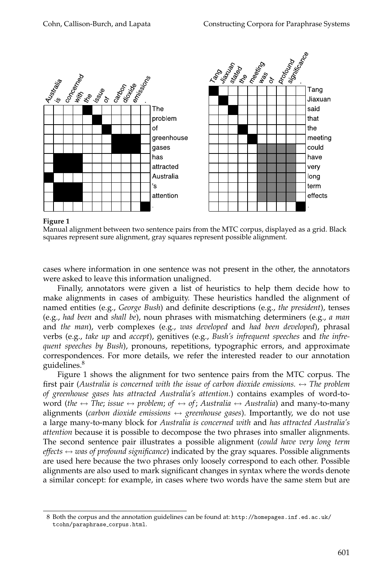

**Figure 1**

Manual alignment between two sentence pairs from the MTC corpus, displayed as a grid. Black squares represent sure alignment, gray squares represent possible alignment.

cases where information in one sentence was not present in the other, the annotators were asked to leave this information unaligned.

Finally, annotators were given a list of heuristics to help them decide how to make alignments in cases of ambiguity. These heuristics handled the alignment of named entities (e.g., *George Bush*) and definite descriptions (e.g., *the president*), tenses (e.g., *had been* and *shall be*), noun phrases with mismatching determiners (e.g., *a man* and *the man*), verb complexes (e.g., *was developed* and *had been developed*), phrasal verbs (e.g., *take up* and *accept*), genitives (e.g., *Bush's infrequent speeches* and *the infrequent speeches by Bush*), pronouns, repetitions, typographic errors, and approximate correspondences. For more details, we refer the interested reader to our annotation guidelines.<sup>8</sup>

Figure 1 shows the alignment for two sentence pairs from the MTC corpus. The first pair (*Australia is concerned with the issue of carbon dioxide emissions.* ↔ *The problem of greenhouse gases has attracted Australia's attention.*) contains examples of word-toword (*the*  $\leftrightarrow$  *The*; *issue*  $\leftrightarrow$  *problem*; *of*  $\leftrightarrow$  *of*; *Australia*  $\leftrightarrow$  *Australia*) and many-to-many alignments (*carbon dioxide emissions*  $\leftrightarrow$  *greenhouse gases*). Importantly, we do not use a large many-to-many block for *Australia is concerned with* and *has attracted Australia's attention* because it is possible to decompose the two phrases into smaller alignments. The second sentence pair illustrates a possible alignment (*could have very long term effects*  $\leftrightarrow$  *was of profound significance*) indicated by the gray squares. Possible alignments are used here because the two phrases only loosely correspond to each other. Possible alignments are also used to mark significant changes in syntax where the words denote a similar concept: for example, in cases where two words have the same stem but are

<sup>8</sup> Both the corpus and the annotation guidelines can be found at: http://homepages.inf.ed.ac.uk/ tcohn/paraphrase corpus.html.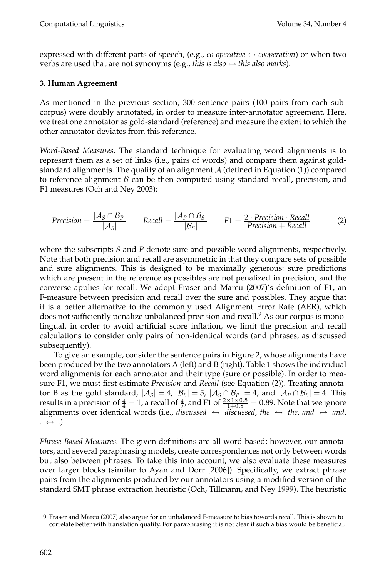expressed with different parts of speech, (e.g., *co-operative*  $\leftrightarrow$  *cooperation*) or when two verbs are used that are not synonyms (e.g., *this is also*  $\leftrightarrow$  *this also marks*).

# **3. Human Agreement**

As mentioned in the previous section, 300 sentence pairs (100 pairs from each subcorpus) were doubly annotated, in order to measure inter-annotator agreement. Here, we treat one annotator as gold-standard (reference) and measure the extent to which the other annotator deviates from this reference.

*Word-Based Measures.* The standard technique for evaluating word alignments is to represent themas a set of links (i.e., pairs of words) and compare themagainst goldstandard alignments. The quality of an alignment  $A$  (defined in Equation (1)) compared to reference alignment  $\beta$  can be then computed using standard recall, precision, and F1 measures (Och and Ney 2003):

$$
Precision = \frac{|\mathcal{A}_S \cap \mathcal{B}_P|}{|\mathcal{A}_S|} \qquad Recall = \frac{|\mathcal{A}_P \cap \mathcal{B}_S|}{|\mathcal{B}_S|} \qquad F1 = \frac{2 \cdot Precision \cdot Recall}{Precision + Recall} \tag{2}
$$

where the subscripts *S* and *P* denote sure and possible word alignments, respectively. Note that both precision and recall are asymmetric in that they compare sets of possible and sure alignments. This is designed to be maximally generous: sure predictions which are present in the reference as possibles are not penalized in precision, and the converse applies for recall. We adopt Fraser and Marcu (2007)'s definition of F1, an F-measure between precision and recall over the sure and possibles. They argue that it is a better alternative to the commonly used Alignment Error Rate (AER), which does not sufficiently penalize unbalanced precision and recall.<sup>9</sup> As our corpus is monolingual, in order to avoid artificial score inflation, we limit the precision and recall calculations to consider only pairs of non-identical words (and phrases, as discussed subsequently).

To give an example, consider the sentence pairs in Figure 2, whose alignments have been produced by the two annotators A (left) and B (right). Table 1 shows the individual word alignments for each annotator and their type (sure or possible). In order to measure F1, we must first estimate *Precision* and *Recall* (see Equation (2)). Treating annotator B as the gold standard,  $|\mathcal{A}_S| = 4$ ,  $|\mathcal{B}_S| = 5$ ,  $|\mathcal{A}_S \cap \mathcal{B}_P| = 4$ , and  $|\mathcal{A}_P \cap \mathcal{B}_S| = 4$ . This results in a precision of  $\frac{4}{4} = 1$ , a recall of  $\frac{4}{5}$ , and F1 of  $\frac{2 \times 1 \times 0.8}{1+0.8} = 0.89$ . Note that we ignore alignments over identical words (i.e., *discussed*  $\leftrightarrow$  *discussed, the*  $\leftrightarrow$  *the, and*  $\leftrightarrow$  *and, .* ↔ *.*).

*Phrase-Based Measures.* The given definitions are all word-based; however, our annotators, and several paraphrasing models, create correspondences not only between words but also between phrases. To take this into account, we also evaluate these measures over larger blocks (similar to Ayan and Dorr [2006]). Specifically, we extract phrase pairs from the alignments produced by our annotators using a modified version of the standard SMT phrase extraction heuristic (Och, Tillmann, and Ney 1999). The heuristic

<sup>9</sup> Fraser and Marcu (2007) also argue for an unbalanced F-measure to bias towards recall. This is shown to correlate better with translation quality. For paraphrasing it is not clear if such a bias would be beneficial.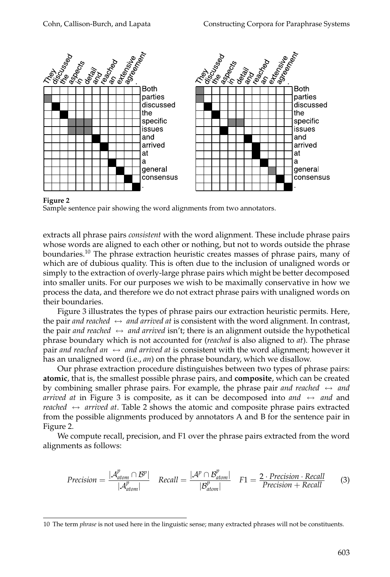

**Figure 2**

Sample sentence pair showing the word alignments from two annotators.

extracts all phrase pairs *consistent* with the word alignment. These include phrase pairs whose words are aligned to each other or nothing, but not to words outside the phrase boundaries.<sup>10</sup> The phrase extraction heuristic creates masses of phrase pairs, many of which are of dubious quality. This is often due to the inclusion of unaligned words or simply to the extraction of overly-large phrase pairs which might be better decomposed into smaller units. For our purposes we wish to be maximally conservative in how we process the data, and therefore we do not extract phrase pairs with unaligned words on their boundaries.

Figure 3 illustrates the types of phrase pairs our extraction heuristic permits. Here, the pair *and reached*  $\leftrightarrow$  *and arrived at* is consistent with the word alignment. In contrast, the pair *and reached*  $\leftrightarrow$  *and arrived* isn't; there is an alignment outside the hypothetical phrase boundary which is not accounted for (*reached* is also aligned to *at*). The phrase pair *and reached an*  $\leftrightarrow$  *and arrived at* is consistent with the word alignment; however it has an unaligned word (i.e., *an*) on the phrase boundary, which we disallow.

Our phrase extraction procedure distinguishes between two types of phrase pairs: **atomic**, that is, the smallest possible phrase pairs, and **composite**, which can be created by combining smaller phrase pairs. For example, the phrase pair *and reached*  $\leftrightarrow$  *and arrived at* in Figure 3 is composite, as it can be decomposed into *and*  $\leftrightarrow$  *and* and *reached* ↔ *arrived at*. Table 2 shows the atomic and composite phrase pairs extracted fromthe possible alignments produced by annotators A and B for the sentence pair in Figure 2.

We compute recall, precision, and F1 over the phrase pairs extracted from the word alignments as follows:

$$
Precision = \frac{|\mathcal{A}_{atom}^p \cap \mathcal{B}^p|}{|\mathcal{A}_{atom}^p|} \quad Recall = \frac{|\mathcal{A}^p \cap \mathcal{B}_{atom}^p|}{|\mathcal{B}_{atom}^p|} \quad F1 = \frac{2 \cdot Precision \cdot Recall}{Precision + Recall} \tag{3}
$$

<sup>10</sup> The term *phrase* is not used here in the linguistic sense; many extracted phrases will not be constituents.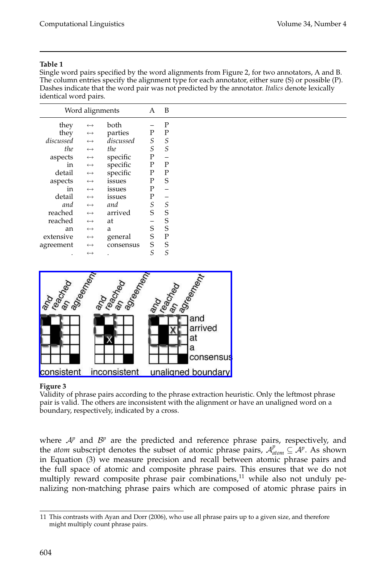#### **Table 1**

Single word pairs specified by the word alignments from Figure 2, for two annotators, A and B. The column entries specify the alignment type for each annotator, either sure (S) or possible (P). Dashes indicate that the word pair was not predicted by the annotator. *Italics* denote lexically identical word pairs.

|           | Word alignments       |           | A                        | B           |  |
|-----------|-----------------------|-----------|--------------------------|-------------|--|
| they      | $\longleftrightarrow$ | both      |                          | P           |  |
| they      | $\longleftrightarrow$ | parties   | $\mathbf P$              | P           |  |
| discussed | $\longleftrightarrow$ | discussed | $\cal S$                 | S           |  |
| the       | $\longleftrightarrow$ | the       | $\cal S$                 | S           |  |
| aspects   | $\longleftrightarrow$ | specific  | ${\bf P}$                | -           |  |
| in        | $\longleftrightarrow$ | specific  | ${\bf P}$                | P           |  |
| detail    | $\longleftrightarrow$ | specific  | $\mathbf{P}$             | P           |  |
| aspects   | $\longleftrightarrow$ | issues    | ${\bf P}$                | S           |  |
| in        | $\longleftrightarrow$ | issues    | $\mathbf P$              |             |  |
| detail    | $\longleftrightarrow$ | issues    | ${\bf P}$                |             |  |
| and       | $\longleftrightarrow$ | and       | $\cal S$                 | S           |  |
| reached   | $\longleftrightarrow$ | arrived   | S                        | S           |  |
| reached   | $\longleftrightarrow$ | at        | $\overline{\phantom{0}}$ | S           |  |
| an        | $\longleftrightarrow$ | a         | S                        | S           |  |
| extensive | $\longleftrightarrow$ | general   | S                        | $\mathbf P$ |  |
| agreement | $\longleftrightarrow$ | consensus | S                        | S           |  |
| $\bullet$ | $\longleftrightarrow$ |           | S                        | S           |  |



### **Figure 3**

Validity of phrase pairs according to the phrase extraction heuristic. Only the leftmost phrase pair is valid. The others are inconsistent with the alignment or have an unaligned word on a boundary, respectively, indicated by a cross.

where  $A^p$  and  $B^p$  are the predicted and reference phrase pairs, respectively, and the *atom* subscript denotes the subset of atomic phrase pairs,  $A_{atom}^p \subseteq A^p$ . As shown in Equation (3) we measure precision and recall between atomic phrase pairs and the full space of atomic and composite phrase pairs. This ensures that we do not multiply reward composite phrase pair combinations,<sup>11</sup> while also not unduly penalizing non-matching phrase pairs which are composed of atomic phrase pairs in

<sup>11</sup> This contrasts with Ayan and Dorr (2006), who use all phrase pairs up to a given size, and therefore might multiply count phrase pairs.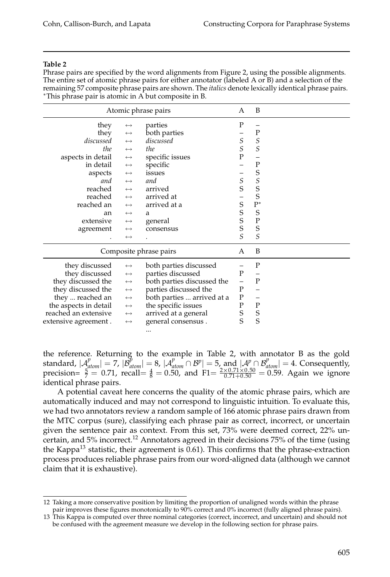#### **Table 2**

Phrase pairs are specified by the word alignments from Figure 2, using the possible alignments. The entire set of atomic phrase pairs for either annotator (labeled A or B) and a selection of the remaining 57 composite phrase pairs are shown. The *italics* denote lexically identical phrase pairs. ∗This phrase pair is atomic in A but composite in B.

|                                                                     | Atomic phrase pairs   | А                          | B                 |                          |  |
|---------------------------------------------------------------------|-----------------------|----------------------------|-------------------|--------------------------|--|
| they                                                                | $\longleftrightarrow$ | parties                    | P                 |                          |  |
| they                                                                | $\longleftrightarrow$ | both parties               |                   | $\mathbf P$              |  |
| discussed                                                           | $\leftrightarrow$     | discussed                  | $\mathcal{S}_{0}$ | $\cal S$                 |  |
| the                                                                 | $\longleftrightarrow$ | the                        | $\mathcal{S}_{0}$ | $\mathcal{S}_{0}$        |  |
| aspects in detail                                                   | $\longleftrightarrow$ | specific issues            | $\overline{P}$    |                          |  |
| in detail                                                           | $\longleftrightarrow$ | specific                   | -                 | $\mathbf P$              |  |
| aspects                                                             | $\longleftrightarrow$ | issues                     |                   | S                        |  |
| and                                                                 | $\longleftrightarrow$ | and                        | $\frac{S}{S}$     | $S_S$                    |  |
| reached                                                             | $\longleftrightarrow$ | arrived                    |                   |                          |  |
| reached                                                             | $\longleftrightarrow$ | arrived at                 | -                 |                          |  |
| reached an                                                          | $\longleftrightarrow$ | arrived at a               | S                 | $P^*$                    |  |
| an                                                                  | $\leftrightarrow$     | a                          | $S_S$             | $\mathbf S$              |  |
| extensive                                                           | $\longleftrightarrow$ | general                    |                   | ${\bf P}$                |  |
| agreement                                                           | $\longleftrightarrow$ | consensus                  |                   | S                        |  |
|                                                                     | $\leftrightarrow$     |                            | $\overline{S}$    | $\mathcal{S}_{0}$        |  |
|                                                                     |                       | Composite phrase pairs     | A                 | B                        |  |
| they discussed                                                      | $\longleftrightarrow$ | both parties discussed     |                   | P                        |  |
| they discussed                                                      | $\longleftrightarrow$ | parties discussed          | $\mathbf P$       |                          |  |
| they discussed the                                                  | $\longleftrightarrow$ | both parties discussed the | $\qquad \qquad -$ | ${\bf P}$                |  |
| they discussed the                                                  | $\longleftrightarrow$ | parties discussed the      | ${\bf P}$         |                          |  |
| they  reached an                                                    | $\longleftrightarrow$ | both parties  arrived at a | ${\bf P}$         | $\overline{\phantom{m}}$ |  |
| the aspects in detail                                               | $\longleftrightarrow$ | the specific issues        | $\mathbf P$       | ${\bf P}$                |  |
| reached an extensive                                                | $\longleftrightarrow$ | arrived at a general       | S<br>S            | $S_S$                    |  |
| general consensus.<br>extensive agreement.<br>$\longleftrightarrow$ |                       |                            |                   |                          |  |
|                                                                     |                       |                            |                   |                          |  |

the reference. Returning to the example in Table 2, with annotator B as the gold standard,  $|A_{atom}^p| = 7$ ,  $|B_{atom}^p| = 8$ ,  $|A_{atom}^p \cap B^p| = 5$ , and  $|A^p \cap B_{atom}^p| = 4$ . Consequently, precision=  $\frac{5}{7}$  = 0.71, recall=  $\frac{4}{8}$  = 0.50, and F1=  $\frac{2 \times 0.71 \times 0.50}{0.71 + 0.50}$  = 0.59. Again we ignore identical phrase pairs.

A potential caveat here concerns the quality of the atomic phrase pairs, which are automatically induced and may not correspond to linguistic intuition. To evaluate this, we had two annotators review a random sample of 166 atomic phrase pairs drawn from the MTC corpus (sure), classifying each phrase pair as correct, incorrect, or uncertain given the sentence pair as context. From this set, 73% were deemed correct, 22% uncertain, and 5% incorrect.<sup>12</sup> Annotators agreed in their decisions 75% of the time (using the Kappa $^{13}$  statistic, their agreement is 0.61). This confirms that the phrase-extraction process produces reliable phrase pairs from our word-aligned data (although we cannot claim that it is exhaustive).

<sup>12</sup> Taking a more conservative position by limiting the proportion of unaligned words within the phrase pair improves these figures monotonically to 90% correct and 0% incorrect (fully aligned phrase pairs).

<sup>13</sup> This Kappa is computed over three nominal categories (correct, incorrect, and uncertain) and should not be confused with the agreement measure we develop in the following section for phrase pairs.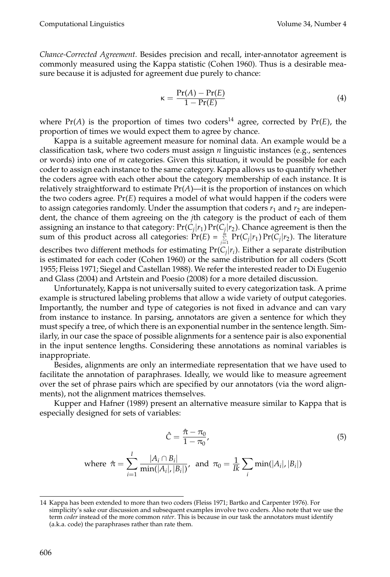*Chance-Corrected Agreement.* Besides precision and recall, inter-annotator agreement is commonly measured using the Kappa statistic (Cohen 1960). Thus is a desirable measure because it is adjusted for agreement due purely to chance:

$$
\kappa = \frac{\Pr(A) - \Pr(E)}{1 - \Pr(E)}\tag{4}
$$

where  $Pr(A)$  is the proportion of times two coders<sup>14</sup> agree, corrected by  $Pr(E)$ , the proportion of times we would expect them to agree by chance.

Kappa is a suitable agreement measure for nominal data. An example would be a classification task, where two coders must assign *n* linguistic instances (e.g., sentences or words) into one of *m* categories. Given this situation, it would be possible for each coder to assign each instance to the same category. Kappa allows us to quantify whether the coders agree with each other about the category membership of each instance. It is relatively straightforward to estimate  $Pr(A)$ —it is the proportion of instances on which the two coders agree. Pr(*E*) requires a model of what would happen if the coders were to assign categories randomly. Under the assumption that coders  $r_1$  and  $r_2$  are independent, the chance of them agreeing on the *j*th category is the product of each of them assigning an instance to that category:  $Pr(C_i|r_1) Pr(C_i|r_2)$ . Chance agreement is then the sum of this product across all categories:  $\Pr(E) = \sum_{j=1}^{m} \Pr(C_j | r_1) \Pr(C_j | r_2)$ . The literature describes two different methods for estimating  $Pr(C_i|r_i)$ . Either a separate distribution is estimated for each coder (Cohen 1960) or the same distribution for all coders (Scott 1955; Fleiss 1971; Siegel and Castellan 1988). We refer the interested reader to Di Eugenio and Glass (2004) and Artstein and Poesio (2008) for a more detailed discussion.

Unfortunately, Kappa is not universally suited to every categorization task. A prime example is structured labeling problems that allow a wide variety of output categories. Importantly, the number and type of categories is not fixed in advance and can vary from instance to instance. In parsing, annotators are given a sentence for which they must specify a tree, of which there is an exponential number in the sentence length. Similarly, in our case the space of possible alignments for a sentence pair is also exponential in the input sentence lengths. Considering these annotations as nominal variables is inappropriate.

Besides, alignments are only an intermediate representation that we have used to facilitate the annotation of paraphrases. Ideally, we would like to measure agreement over the set of phrase pairs which are specified by our annotators (via the word alignments), not the alignment matrices themselves.

Kupper and Hafner (1989) present an alternative measure similar to Kappa that is especially designed for sets of variables:

$$
\hat{C} = \frac{\hat{\pi} - \pi_0}{1 - \pi_0},\tag{5}
$$

where 
$$
\hat{\pi} = \sum_{i=1}^{I} \frac{|A_i \cap B_i|}{\min(|A_i|, |B_i|)},
$$
 and  $\pi_0 = \frac{1}{Ik} \sum_{i} \min(|A_i|, |B_i|)$ 

<sup>14</sup> Kappa has been extended to more than two coders (Fleiss 1971; Bartko and Carpenter 1976). For simplicity's sake our discussion and subsequent examples involve two coders. Also note that we use the term *coder* instead of the more common *rater*. This is because in our task the annotators must identify (a.k.a. code) the paraphrases rather than rate them.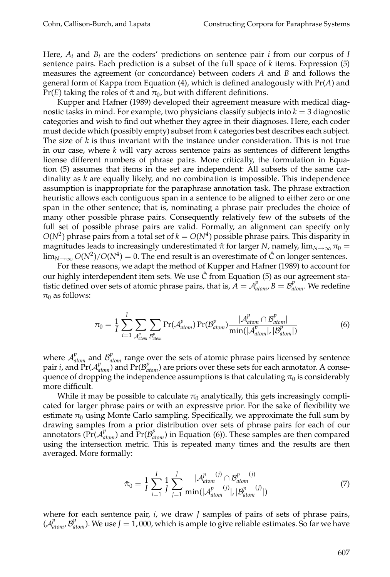Here,  $A_i$  and  $B_i$  are the coders' predictions on sentence pair *i* from our corpus of *I* sentence pairs. Each prediction is a subset of the full space of *k* items. Expression (5) measures the agreement (or concordance) between coders *A* and *B* and follows the general form of Kappa from Equation  $(4)$ , which is defined analogously with  $Pr(A)$  and Pr(*E*) taking the roles of  $\hat{\pi}$  and  $\pi_0$ , but with different definitions.

Kupper and Hafner (1989) developed their agreement measure with medical diagnostic tasks in mind. For example, two physicians classify subjects into  $k = 3$  diagnostic categories and wish to find out whether they agree in their diagnoses. Here, each coder must decide which (possibly empty) subset from *k* categories best describes each subject. The size of *k* is thus invariant with the instance under consideration. This is not true in our case, where *k* will vary across sentence pairs as sentences of different lengths license different numbers of phrase pairs. More critically, the formulation in Equation (5) assumes that items in the set are independent: All subsets of the same cardinality as *k* are equally likely, and no combination is impossible. This independence assumption is inappropriate for the paraphrase annotation task. The phrase extraction heuristic allows each contiguous span in a sentence to be aligned to either zero or one span in the other sentence; that is, nominating a phrase pair precludes the choice of many other possible phrase pairs. Consequently relatively few of the subsets of the full set of possible phrase pairs are valid. Formally, an alignment can specify only  $O(N^2)$  phrase pairs from a total set of  $k = O(N^4)$  possible phrase pairs. This disparity in magnitudes leads to increasingly underestimated  $\hat{\pi}$  for larger *N*, namely,  $\lim_{N\to\infty}\pi_0$  =  $\lim_{N\to\infty} O(N^2)/O(N^4) = 0$ . The end result is an overestimate of  $\hat{C}$  on longer sentences.

For these reasons, we adapt the method of Kupper and Hafner (1989) to account for our highly interdependent item sets. We use  $\hat{C}$  from Equation (5) as our agreement statistic defined over sets of atomic phrase pairs, that is,  $\vec{A} = A_{atom}^p, \vec{B} = B_{atom}^p$ . We redefine  $\pi_0$  as follows:

$$
\pi_0 = \frac{1}{I} \sum_{i=1}^{I} \sum_{\mathcal{A}_{atom}^p} \sum_{\mathcal{B}_{atom}^p} \Pr(\mathcal{A}_{atom}^p) \Pr(\mathcal{B}_{atom}^p) \frac{|\mathcal{A}_{atom}^p \cap \mathcal{B}_{atom}^p|}{\min(|\mathcal{A}_{atom}^p|, |\mathcal{B}_{atom}^p|)}
$$
(6)

where  $A_{atom}^p$  and  $B_{atom}^p$  range over the sets of atomic phrase pairs licensed by sentence pair *i*, and  $Pr(A_{atom}^p)$  and  $Pr(B_{atom}^p)$  are priors over these sets for each annotator. A consequence of dropping the independence assumptions is that calculating  $\pi_0$  is considerably more difficult.

While it may be possible to calculate  $\pi_0$  analytically, this gets increasingly complicated for larger phrase pairs or with an expressive prior. For the sake of flexibility we estimate  $\pi_0$  using Monte Carlo sampling. Specifically, we approximate the full sum by drawing samples from a prior distribution over sets of phrase pairs for each of our annotators ( $Pr(A_{atom}^p)$  and  $Pr(B_{atom}^p)$  in Equation (6)). These samples are then compared using the intersection metric. This is repeated many times and the results are then averaged. More formally:

$$
\hat{\pi}_0 = \frac{1}{I} \sum_{i=1}^{I} \frac{1}{J} \sum_{j=1}^{J} \frac{|\mathcal{A}_{atom}^{p(j)} \cap \mathcal{B}_{atom}^{p(j)}|}{\min(|\mathcal{A}_{atom}^{p(j)}|, |\mathcal{B}_{atom}^{p(j)}|)}
$$
(7)

where for each sentence pair, *i*, we draw *J* samples of pairs of sets of phrase pairs,  $(A_{atom}^p, B_{atom}^p)$ . We use  $J = 1$ , 000, which is ample to give reliable estimates. So far we have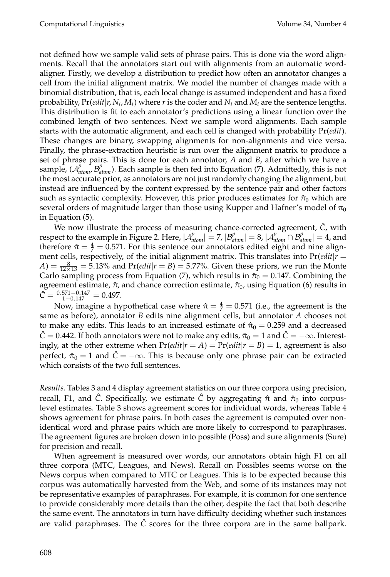not defined how we sample valid sets of phrase pairs. This is done via the word alignments. Recall that the annotators start out with alignments from an automatic wordaligner. Firstly, we develop a distribution to predict how often an annotator changes a cell from the initial alignment matrix. We model the number of changes made with a binomial distribution, that is, each local change is assumed independent and has a fixed probability,  $Pr(\text{edit}|r, N_i, M_i)$  where *r* is the coder and  $N_i$  and  $M_i$  are the sentence lengths. This distribution is fit to each annotator's predictions using a linear function over the combined length of two sentences. Next we sample word alignments. Each sample starts with the automatic alignment, and each cell is changed with probability Pr(*edit*). These changes are binary, swapping alignments for non-alignments and vice versa. Finally, the phrase-extraction heuristic is run over the alignment matrix to produce a set of phrase pairs. This is done for each annotator, *A* and *B*, after which we have a sample,  $(A_{atom}^p, B_{atom}^p)$ . Each sample is then fed into Equation (7). Admittedly, this is not the most accurate prior, as annotators are not just randomly changing the alignment, but instead are influenced by the content expressed by the sentence pair and other factors such as syntactic complexity. However, this prior produces estimates for  $\hat{\pi}_0$  which are several orders of magnitude larger than those using Kupper and Hafner's model of  $\pi_0$ in Equation (5).

We now illustrate the process of measuring chance-corrected agreement,  $\hat{C}$ , with respect to the example in Figure 2. Here,  $|A_{atom}^p| = 7$ ,  $|B_{atom}^p| = 8$ ,  $|A_{atom}^p \cap B_{atom}^p| = 4$ , and therefore  $\hat{\pi} = \frac{4}{7} = 0.571$ . For this sentence our annotators edited eight and nine alignment cells, respectively, of the initial alignment matrix. This translates into  $Pr(\text{edit}|r =$  $A) = \frac{8}{12 \times 13} = 5.13\%$  and  $Pr(edit | r = B) = 5.77\%$ . Given these priors, we run the Monte Carlo sampling process from Equation (7), which results in  $\hat{\pi}_0 = 0.147$ . Combining the agreement estimate,  $\hat{\pi}$ , and chance correction estimate,  $\hat{\pi}_0$ , using Equation (6) results in  $\hat{C} = \frac{0.571 - 0.147}{1 - 0.147} = 0.497.$ 

Now, imagine a hypothetical case where  $\hat{\pi} = \frac{4}{7} = 0.571$  (i.e., the agreement is the same as before), annotator *B* edits nine alignment cells, but annotator *A* chooses not to make any edits. This leads to an increased estimate of  $\hat{\pi}_0 = 0.259$  and a decreased  $\hat{C} = 0.442$ . If both annotators were not to make any edits,  $\hat{\pi}_0 = 1$  and  $\hat{C} = -\infty$ . Interestingly, at the other extreme when  $Pr(\text{edit}|r = A) = Pr(\text{edit}|r = B) = 1$ , agreement is also perfect,  $\hat{\pi}_0 = 1$  and  $\hat{C} = -\infty$ . This is because only one phrase pair can be extracted which consists of the two full sentences.

*Results.* Tables 3 and 4 display agreement statistics on our three corpora using precision, recall, F1, and  $\hat{C}$ . Specifically, we estimate  $\hat{C}$  by aggregating  $\hat{\pi}$  and  $\hat{\pi}_0$  into corpuslevel estimates. Table 3 shows agreement scores for individual words, whereas Table 4 shows agreement for phrase pairs. In both cases the agreement is computed over nonidentical word and phrase pairs which are more likely to correspond to paraphrases. The agreement figures are broken down into possible (Poss) and sure alignments (Sure) for precision and recall.

When agreement is measured over words, our annotators obtain high F1 on all three corpora (MTC, Leagues, and News). Recall on Possibles seems worse on the News corpus when compared to MTC or Leagues. This is to be expected because this corpus was automatically harvested from the Web, and some of its instances may not be representative examples of paraphrases. For example, it is common for one sentence to provide considerably more details than the other, despite the fact that both describe the same event. The annotators in turn have difficulty deciding whether such instances are valid paraphrases. The  $\ddot{C}$  scores for the three corpora are in the same ballpark.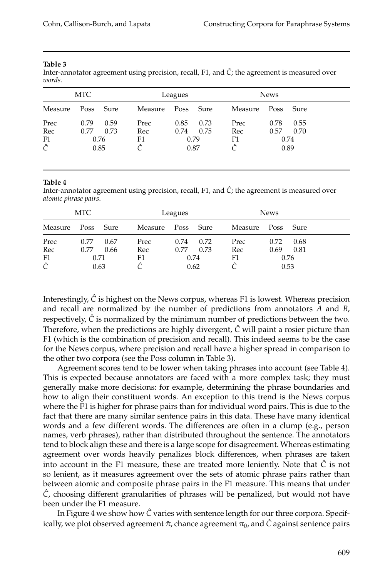#### **Table 3**

Inter-annotator agreement using precision, recall, F1, and  $\hat{C}$ ; the agreement is measured over *words*.

|         | MTC  |      |         | Leagues   |      | <b>News</b> |      |      |
|---------|------|------|---------|-----------|------|-------------|------|------|
| Measure | Poss | Sure | Measure | Poss Sure |      | Measure     | Poss | Sure |
| Prec    | 0.79 | 0.59 | Prec    | 0.85      | 0.73 | Prec        | 0.78 | 0.55 |
| Rec     | 0.77 | 0.73 | Rec     | 0.74      | 0.75 | Rec         | 0.57 | 0.70 |
| F1      | 0.76 |      | F1      | 0.79      |      | F1          |      | 0.74 |
| Ĉ       | 0.85 |      |         | 0.87      |      |             |      | 0.89 |

#### **Table 4**

Inter-annotator agreement using precision, recall, F1, and  $\hat{C}$ ; the agreement is measured over *atomic phrase pairs*.

|         | MTC       |      |         | Leagues   |      | <b>News</b> |      |      |
|---------|-----------|------|---------|-----------|------|-------------|------|------|
| Measure | Poss Sure |      | Measure | Poss Sure |      | Measure     | Poss | Sure |
| Prec    | 0.77      | 0.67 | Prec    | 0.74      | 0.72 | Prec        | 0.72 | 0.68 |
| Rec     | 0.77      | 0.66 | Rec     | 0.77      | 0.73 | Rec         | 0.69 | 0.81 |
| F1      | 0.71      |      | F1      | 0.74      |      | F1          |      | 0.76 |
| Ĉ       | 0.63      |      |         | 0.62      |      |             | 0.53 |      |

Interestingly,  $\hat{C}$  is highest on the News corpus, whereas F1 is lowest. Whereas precision and recall are normalized by the number of predictions from annotators *A* and *B*, respectively,  $\hat{C}$  is normalized by the minimum number of predictions between the two. Therefore, when the predictions are highly divergent,  $\hat{C}$  will paint a rosier picture than F1 (which is the combination of precision and recall). This indeed seems to be the case for the News corpus, where precision and recall have a higher spread in comparison to the other two corpora (see the Poss column in Table 3).

Agreement scores tend to be lower when taking phrases into account (see Table 4). This is expected because annotators are faced with a more complex task; they must generally make more decisions: for example, determining the phrase boundaries and how to align their constituent words. An exception to this trend is the News corpus where the F1 is higher for phrase pairs than for individual word pairs. This is due to the fact that there are many similar sentence pairs in this data. These have many identical words and a few different words. The differences are often in a clump (e.g., person names, verb phrases), rather than distributed throughout the sentence. The annotators tend to block align these and there is a large scope for disagreement. Whereas estimating agreement over words heavily penalizes block differences, when phrases are taken into account in the F1 measure, these are treated more leniently. Note that  $\hat{C}$  is not so lenient, as it measures agreement over the sets of atomic phrase pairs rather than between atomic and composite phrase pairs in the F1 measure. This means that under *C*ˆ, choosing different granularities of phrases will be penalized, but would not have been under the F1 measure.

In Figure 4 we show how  $\hat{C}$  varies with sentence length for our three corpora. Specifically, we plot observed agreement  $\hat{\pi}$ , chance agreement  $\pi_0$ , and  $\hat{C}$  against sentence pairs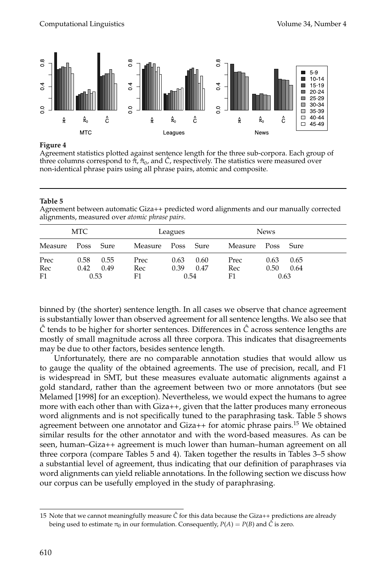

### **Figure 4**

Agreement statistics plotted against sentence length for the three sub-corpora. Each group of three columns correspond to  $\hat{\pi}, \hat{\pi}_0$ , and  $\hat{C}$ , respectively. The statistics were measured over non-identical phrase pairs using all phrase pairs, atomic and composite.

#### **Table 5**

Agreement between automatic Giza++ predicted word alignments and our manually corrected alignments, measured over *atomic phrase pairs*.

|                   | MTC                  |              |                   | Leagues      |                      | <b>News</b>       |              |                      |
|-------------------|----------------------|--------------|-------------------|--------------|----------------------|-------------------|--------------|----------------------|
| Measure           | Poss                 | Sure         | Measure           | Poss Sure    |                      | Measure           | Poss         | Sure                 |
| Prec<br>Rec<br>F1 | 0.58<br>0.42<br>0.53 | 0.55<br>0.49 | Prec<br>Rec<br>F1 | 0.63<br>0.39 | 0.60<br>0.47<br>0.54 | Prec<br>Rec<br>F1 | 0.63<br>0.50 | 0.65<br>0.64<br>0.63 |

binned by (the shorter) sentence length. In all cases we observe that chance agreement is substantially lower than observed agreement for all sentence lengths. We also see that  $\hat{C}$  tends to be higher for shorter sentences. Differences in  $\hat{C}$  across sentence lengths are mostly of small magnitude across all three corpora. This indicates that disagreements may be due to other factors, besides sentence length.

Unfortunately, there are no comparable annotation studies that would allow us to gauge the quality of the obtained agreements. The use of precision, recall, and F1 is widespread in SMT, but these measures evaluate automatic alignments against a gold standard, rather than the agreement between two or more annotators (but see Melamed [1998] for an exception). Nevertheless, we would expect the humans to agree more with each other than with Giza++, given that the latter produces many erroneous word alignments and is not specifically tuned to the paraphrasing task. Table 5 shows agreement between one annotator and  $Giza++$  for atomic phrase pairs.<sup>15</sup> We obtained similar results for the other annotator and with the word-based measures. As can be seen, human–Giza++ agreement is much lower than human–human agreement on all three corpora (compare Tables 5 and 4). Taken together the results in Tables 3–5 show a substantial level of agreement, thus indicating that our definition of paraphrases via word alignments can yield reliable annotations. In the following section we discuss how our corpus can be usefully employed in the study of paraphrasing.

<sup>15</sup> Note that we cannot meaningfully measure *C*ˆ for this data because the Giza++ predictions are already being used to estimate  $\pi_0$  in our formulation. Consequently,  $P(A) = P(B)$  and  $\hat{C}$  is zero.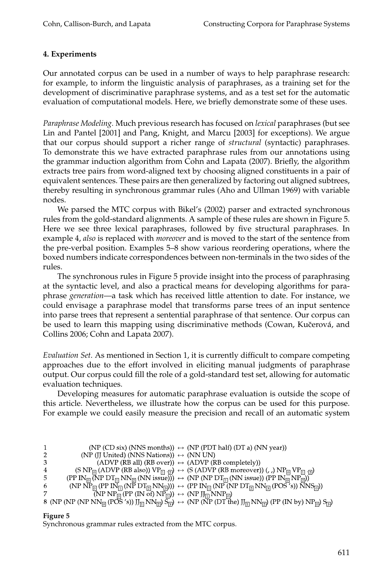# **4. Experiments**

Our annotated corpus can be used in a number of ways to help paraphrase research: for example, to inform the linguistic analysis of paraphrases, as a training set for the development of discriminative paraphrase systems, and as a test set for the automatic evaluation of computational models. Here, we briefly demonstrate some of these uses.

*Paraphrase Modeling.* Much previous research has focused on *lexical* paraphrases (but see Lin and Pantel [2001] and Pang, Knight, and Marcu [2003] for exceptions). We argue that our corpus should support a richer range of *structural* (syntactic) paraphrases. To demonstrate this we have extracted paraphrase rules from our annotations using the grammar induction algorithm from Cohn and Lapata (2007). Briefly, the algorithm extracts tree pairs from word-aligned text by choosing aligned constituents in a pair of equivalent sentences. These pairs are then generalized by factoring out aligned subtrees, thereby resulting in synchronous grammar rules (Aho and Ullman 1969) with variable nodes.

We parsed the MTC corpus with Bikel's (2002) parser and extracted synchronous rules from the gold-standard alignments. A sample of these rules are shown in Figure 5. Here we see three lexical paraphrases, followed by five structural paraphrases. In example 4, *also* is replaced with *moreover* and is moved to the start of the sentence from the pre-verbal position. Examples 5–8 show various reordering operations, where the boxed numbers indicate correspondences between non-terminals in the two sides of the rules.

The synchronous rules in Figure 5 provide insight into the process of paraphrasing at the syntactic level, and also a practical means for developing algorithms for paraphrase *generation*—a task which has received little attention to date. For instance, we could envisage a paraphrase model that transforms parse trees of an input sentence into parse trees that represent a sentential paraphrase of that sentence. Our corpus can be used to learn this mapping using discriminative methods (Cowan, Kučerová, and Collins 2006; Cohn and Lapata 2007).

*Evaluation Set.* As mentioned in Section 1, it is currently difficult to compare competing approaches due to the effort involved in eliciting manual judgments of paraphrase output. Our corpus could fill the role of a gold-standard test set, allowing for automatic evaluation techniques.

Developing measures for automatic paraphrase evaluation is outside the scope of this article. Nevertheless, we illustrate how the corpus can be used for this purpose. For example we could easily measure the precision and recall of an automatic system

| 1              | (NP (CD six) (NNS months)) $\leftrightarrow$ (NP (PDT half) (DT a) (NN year))                                                                                                                                             |
|----------------|---------------------------------------------------------------------------------------------------------------------------------------------------------------------------------------------------------------------------|
| $\overline{2}$ | (NP (JJ United) (NNS Nations)) $\leftrightarrow$ (NN UN)                                                                                                                                                                  |
| 3              | $(ADVP (RB all) (RB over)) \leftrightarrow (ADVP (RB completely))$                                                                                                                                                        |
| 4              | (S NP <sub>[o]</sub> (ADVP (RB also)) $VP_{\overline{11}}$ ( $\overline{2}$ ) $\leftrightarrow$ (S (ADVP (RB moreover)) (, ,) $NP_{\overline{10}}VP_{\overline{11}}$ ( $\overline{2}$ )                                   |
| 5              | $(PP IN_{\overline{[0]}}(\overline{NP DT_{\overline{[1]}}NN_{\overline{[2]}}(NN issue))) \leftrightarrow (NP (NP DT_{\overline{[1]}}(NN issue)) (PP IN_{\overline{[0]}}NP_{\overline{[2]}}))$                             |
| 6              | $(NP\ NP_{\overline{[0]}}(PP\ IN_{\overline{[1]}}(NP\ DT_{\overline{[2]}}NN_{\overline{[3]}}))) \leftrightarrow (PP\ IN_{\overline{[1]}}(NP\ (NP\ DT_{\overline{[2]}}NN_{\overline{[3]}}(POS's))\ NNS_{\overline{[0]}}))$ |
| 7              | $\overline{\text{NPP} \, \text{NP}_{\text{D}} \, \text{(PP (IN of) NP}_{\text{D}})} \leftrightarrow \text{NPP} \text{J}_{\text{D}} \, \text{NNP}_{\text{D}}$                                                              |
|                | $8 (NP (NP (NP NN0 (PO2 S')) J[1] NN[2]) S[3]) \leftrightarrow (NP (NP (DT- the) J[1] NN[2]) (PP (IN by) NP[0]) S[3])$                                                                                                    |

# **Figure 5**

Synchronous grammar rules extracted from the MTC corpus.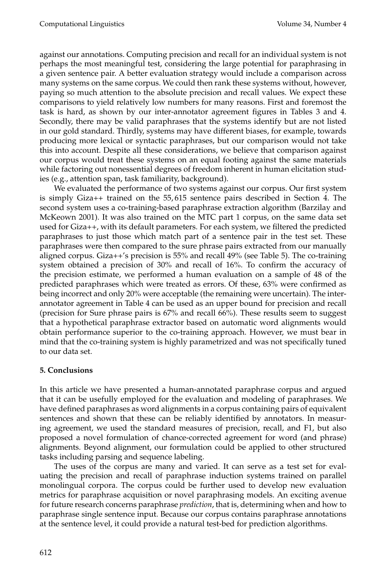against our annotations. Computing precision and recall for an individual system is not perhaps the most meaningful test, considering the large potential for paraphrasing in a given sentence pair. A better evaluation strategy would include a comparison across many systems on the same corpus. We could then rank these systems without, however, paying so much attention to the absolute precision and recall values. We expect these comparisons to yield relatively low numbers for many reasons. First and foremost the task is hard, as shown by our inter-annotator agreement figures in Tables 3 and 4. Secondly, there may be valid paraphrases that the systems identify but are not listed in our gold standard. Thirdly, systems may have different biases, for example, towards producing more lexical or syntactic paraphrases, but our comparison would not take this into account. Despite all these considerations, we believe that comparison against our corpus would treat these systems on an equal footing against the same materials while factoring out nonessential degrees of freedominherent in human elicitation studies (e.g., attention span, task familiarity, background).

We evaluated the performance of two systems against our corpus. Our first system is simply Giza++ trained on the 55, 615 sentence pairs described in Section 4. The second system uses a co-training-based paraphrase extraction algorithm (Barzilay and McKeown 2001). It was also trained on the MTC part 1 corpus, on the same data set used for Giza++, with its default parameters. For each system, we filtered the predicted paraphrases to just those which match part of a sentence pair in the test set. These paraphrases were then compared to the sure phrase pairs extracted from our manually aligned corpus. Giza++'s precision is 55% and recall 49% (see Table 5). The co-training system obtained a precision of 30% and recall of 16%. To confirm the accuracy of the precision estimate, we performed a human evaluation on a sample of 48 of the predicted paraphrases which were treated as errors. Of these, 63% were confirmed as being incorrect and only 20% were acceptable (the remaining were uncertain). The interannotator agreement in Table 4 can be used as an upper bound for precision and recall (precision for Sure phrase pairs is 67% and recall 66%). These results seemto suggest that a hypothetical paraphrase extractor based on automatic word alignments would obtain performance superior to the co-training approach. However, we must bear in mind that the co-training system is highly parametrized and was not specifically tuned to our data set.

# **5. Conclusions**

In this article we have presented a human-annotated paraphrase corpus and argued that it can be usefully employed for the evaluation and modeling of paraphrases. We have defined paraphrases as word alignments in a corpus containing pairs of equivalent sentences and shown that these can be reliably identified by annotators. In measuring agreement, we used the standard measures of precision, recall, and F1, but also proposed a novel formulation of chance-corrected agreement for word (and phrase) alignments. Beyond alignment, our formulation could be applied to other structured tasks including parsing and sequence labeling.

The uses of the corpus are many and varied. It can serve as a test set for evaluating the precision and recall of paraphrase induction systems trained on parallel monolingual corpora. The corpus could be further used to develop new evaluation metrics for paraphrase acquisition or novel paraphrasing models. An exciting avenue for future research concerns paraphrase *prediction*, that is, determining when and how to paraphrase single sentence input. Because our corpus contains paraphrase annotations at the sentence level, it could provide a natural test-bed for prediction algorithms.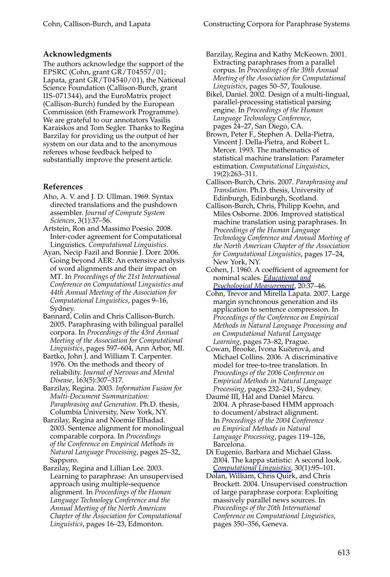#### **Acknowledgments**

The authors acknowledge the support of the EPSRC (Cohn, grant GR / T04557/01; Lapata, grant  $\overline{GR}/T04540/01$ , the National Science Foundation (Callison-Burch, grant IIS-071344), and the EuroMatrix project (Callison-Burch) funded by the European Commission (6th Framework Programme). We are grateful to our annotators Vasilis Karaiskos and Tom Segler. Thanks to Regina Barzilay for providing us the output of her system on our data and to the anonymous referees whose feedback helped to substantially improve the present article.

#### **References**

- Aho, A. V. and J. D. Ullman. 1969. Syntax directed translations and the pushdown assembler. *Journal of Compute System Sciences*, 3(1):37–56.
- Artstein, Ron and Massimo Poesio. 2008. Inter-coder agreement for Computational Linguistics. *Computational Linguistics*.
- Ayan, Necip Fazil and Bonnie J. Dorr. 2006. Going beyond AER: An extensive analysis of word alignments and their impact on MT. In *Proceedings of the 21st International Conference on Computational Linguistics and 44th Annual Meeting of the Association for Computational Linguistics*, pages 9–16, Sydney.
- Bannard, Colin and Chris Callison-Burch. 2005. Paraphrasing with bilingual parallel corpora. In *Proceedings of the 43rd Annual Meeting of the Association for Computational Linguistics*, pages 597–604, Ann Arbor, MI.
- Bartko, John J. and William T. Carpenter. 1976. On the methods and theory of reliability. *Journal of Nervous and Mental Disease*, 163(5):307–317.
- Barzilay, Regina. 2003. *Information Fusion for Multi-Document Summarization: Paraphrasing and Generation*. Ph.D. thesis, Columbia University, New York, NY.
- Barzilay, Regina and Noemie Elhadad. 2003. Sentence alignment for monolingual comparable corpora. In *Proceedings of the Conference on Empirical Methods in Natural Language Processing*, pages 25–32, Sapporo.
- Barzilay, Regina and Lillian Lee. 2003. Learning to paraphrase: An unsupervised approach using multiple-sequence alignment. In *Proceedings of the Human Language Technology Conference and the Annual Meeting of the North American Chapter of the Association for Computational Linguistics*, pages 16–23, Edmonton.
- Barzilay, Regina and Kathy McKeown. 2001. Extracting paraphrases from a parallel corpus. In *Proceedings of the 39th Annual Meeting of the Association for Computational Linguistics*, pages 50–57, Toulouse.
- Bikel, Daniel. 2002. Design of a multi-lingual, parallel-processing statistical parsing engine. In *Proceedings of the Human Language Technology Conference*, pages 24–27, San Diego, CA.
- Brown, Peter F., Stephen A. Della-Pietra, Vincent J. Della-Pietra, and Robert L. Mercer. 1993. The mathematics of statistical machine translation: Parameter estimation. *Computational Linguistics*, 19(2):263–311.
- Callison-Burch, Chris. 2007. *Paraphrasing and Translation*. Ph.D. thesis, University of Edinburgh, Edinburgh, Scotland.
- Callison-Burch, Chris, Philipp Koehn, and Miles Osborne. 2006. Improved statistical machine translation using paraphrases. In *Proceedings of the Human Language Technology Conference and Annual Meeting of the North American Chapter of the Association for Computational Linguistics*, pages 17–24, New York, NY.
- Cohen, J. 1960. A coefficient of agreement for nominal scales. *Educational and Psychological Measurement*, 20:37–46.
- Cohn, Trevor and Mirella Lapata. 2007. Large margin synchronous generation and its application to sentence compression. In *Proceedings of the Conference on Empirical Methods in Natural Language Processing and on Computational Natural Language Learning*, pages 73–82, Prague.
- Cowan, Brooke, Ivona Kučerová, and Michael Collins. 2006. A discriminative model for tree-to-tree translation. In *Proceedings of the 2006 Conference on Empirical Methods in Natural Language Processing*, pages 232–241, Sydney.
- Daumé III, Hal and Daniel Marcu. 2004. A phrase-based HMM approach to document/abstract alignment. In *Proceedings of the 2004 Conference on Empirical Methods in Natural Language Processing*, pages 119–126, Barcelona.
- Di Eugenio, Barbara and Michael Glass. 2004. The kappa statistic: A second look. *Computational Linguistics*, 30(1):95–101.
- Dolan, William, Chris Quirk, and Chris Brockett. 2004. Unsupervised construction of large paraphrase corpora: Exploiting massively parallel news sources. In *Proceedings of the 20th International Conference on Computational Linguistics*, pages 350–356, Geneva.